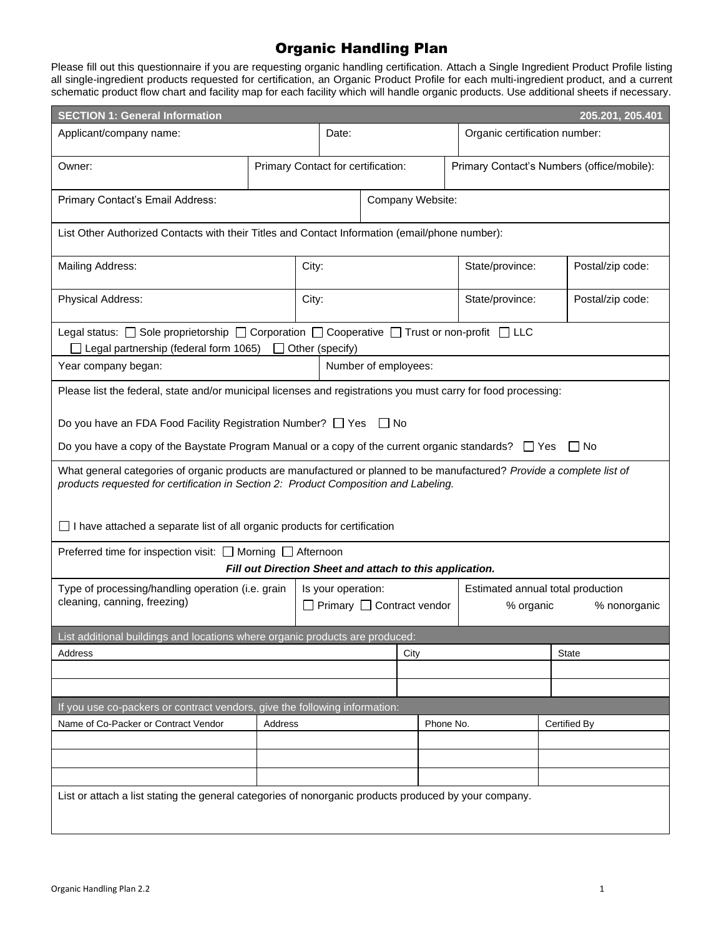## Organic Handling Plan

Please fill out this questionnaire if you are requesting organic handling certification. Attach a Single Ingredient Product Profile listing all single-ingredient products requested for certification, an Organic Product Profile for each multi-ingredient product, and a current schematic product flow chart and facility map for each facility which will handle organic products. Use additional sheets if necessary.

| <b>SECTION 1: General Information</b><br>205.201, 205.401                                                                                                                                                      |                                    |                 |                                                                                         |                      |                                            |                                                          |                               |                  |
|----------------------------------------------------------------------------------------------------------------------------------------------------------------------------------------------------------------|------------------------------------|-----------------|-----------------------------------------------------------------------------------------|----------------------|--------------------------------------------|----------------------------------------------------------|-------------------------------|------------------|
| Applicant/company name:                                                                                                                                                                                        |                                    | Date:           |                                                                                         |                      |                                            |                                                          | Organic certification number: |                  |
| Owner:                                                                                                                                                                                                         | Primary Contact for certification: |                 |                                                                                         |                      | Primary Contact's Numbers (office/mobile): |                                                          |                               |                  |
| Primary Contact's Email Address:                                                                                                                                                                               |                                    |                 |                                                                                         | Company Website:     |                                            |                                                          |                               |                  |
| List Other Authorized Contacts with their Titles and Contact Information (email/phone number):                                                                                                                 |                                    |                 |                                                                                         |                      |                                            |                                                          |                               |                  |
| Mailing Address:                                                                                                                                                                                               |                                    | City:           |                                                                                         |                      |                                            | State/province:                                          |                               | Postal/zip code: |
| Physical Address:                                                                                                                                                                                              |                                    | City:           |                                                                                         |                      |                                            | State/province:                                          |                               | Postal/zip code: |
| Legal status: □ Sole proprietorship □ Corporation □ Cooperative □ Trust or non-profit □ LLC<br>$\Box$ Legal partnership (federal form 1065)                                                                    | $\perp$                            | Other (specify) |                                                                                         |                      |                                            |                                                          |                               |                  |
| Year company began:                                                                                                                                                                                            |                                    |                 |                                                                                         | Number of employees: |                                            |                                                          |                               |                  |
| Please list the federal, state and/or municipal licenses and registrations you must carry for food processing:                                                                                                 |                                    |                 |                                                                                         |                      |                                            |                                                          |                               |                  |
| Do you have an FDA Food Facility Registration Number? □ Yes<br>l I No                                                                                                                                          |                                    |                 |                                                                                         |                      |                                            |                                                          |                               |                  |
| Do you have a copy of the Baystate Program Manual or a copy of the current organic standards? $\square$ Yes                                                                                                    |                                    |                 |                                                                                         |                      |                                            |                                                          |                               | $\Box$ No        |
| What general categories of organic products are manufactured or planned to be manufactured? Provide a complete list of<br>products requested for certification in Section 2: Product Composition and Labeling. |                                    |                 |                                                                                         |                      |                                            |                                                          |                               |                  |
| $\Box$ I have attached a separate list of all organic products for certification                                                                                                                               |                                    |                 |                                                                                         |                      |                                            |                                                          |                               |                  |
| Preferred time for inspection visit: $\Box$ Morning $\Box$ Afternoon                                                                                                                                           |                                    |                 |                                                                                         |                      |                                            | Fill out Direction Sheet and attach to this application. |                               |                  |
| Type of processing/handling operation (i.e. grain<br>Is your operation:<br>cleaning, canning, freezing)                                                                                                        |                                    |                 | Estimated annual total production<br>$\Box$ Primary $\Box$ Contract vendor<br>% organic |                      | % nonorganic                               |                                                          |                               |                  |
| List additional buildings and locations where organic products are produced:                                                                                                                                   |                                    |                 |                                                                                         |                      |                                            |                                                          |                               |                  |
| Address                                                                                                                                                                                                        |                                    |                 | City                                                                                    |                      |                                            | <b>State</b>                                             |                               |                  |
|                                                                                                                                                                                                                |                                    |                 |                                                                                         |                      |                                            |                                                          |                               |                  |
| If you use co-packers or contract vendors, give the following information:                                                                                                                                     |                                    |                 |                                                                                         |                      |                                            |                                                          |                               |                  |
| Name of Co-Packer or Contract Vendor                                                                                                                                                                           | Address                            |                 |                                                                                         |                      |                                            | Phone No.                                                |                               | Certified By     |
|                                                                                                                                                                                                                |                                    |                 |                                                                                         |                      |                                            |                                                          |                               |                  |
|                                                                                                                                                                                                                |                                    |                 |                                                                                         |                      |                                            |                                                          |                               |                  |
|                                                                                                                                                                                                                |                                    |                 |                                                                                         |                      |                                            |                                                          |                               |                  |
| List or attach a list stating the general categories of nonorganic products produced by your company.                                                                                                          |                                    |                 |                                                                                         |                      |                                            |                                                          |                               |                  |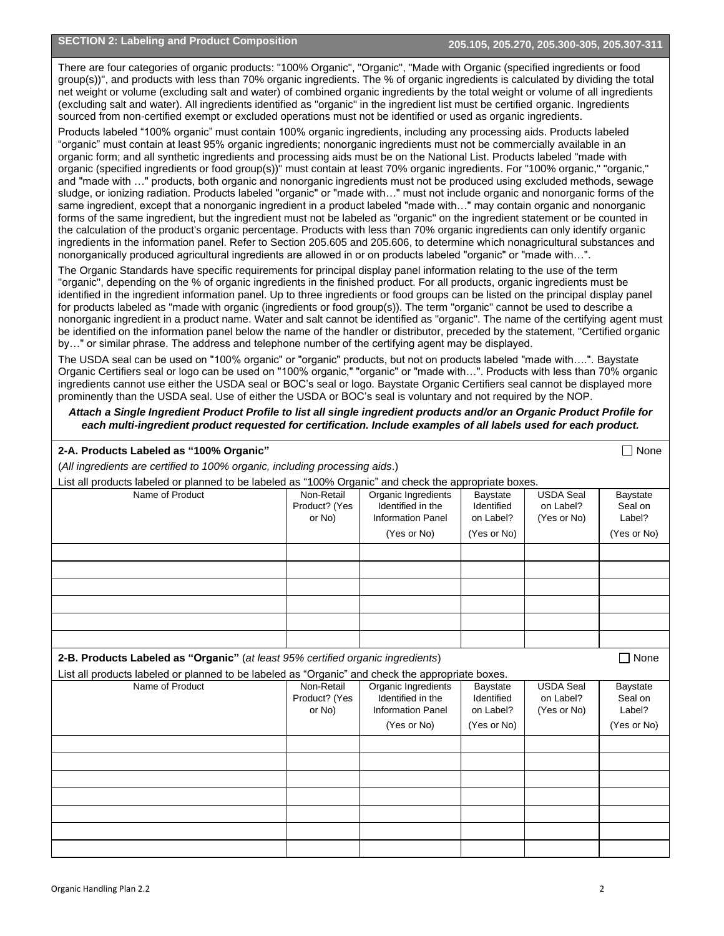There are four categories of organic products: "100% Organic", "Organic", "Made with Organic (specified ingredients or food group(s))", and products with less than 70% organic ingredients. The % of organic ingredients is calculated by dividing the total net weight or volume (excluding salt and water) of combined organic ingredients by the total weight or volume of all ingredients (excluding salt and water). All ingredients identified as "organic" in the ingredient list must be certified organic. Ingredients sourced from non-certified exempt or excluded operations must not be identified or used as organic ingredients.

Products labeled "100% organic" must contain 100% organic ingredients, including any processing aids. Products labeled "organic" must contain at least 95% organic ingredients; nonorganic ingredients must not be commercially available in an organic form; and all synthetic ingredients and processing aids must be on the National List. Products labeled "made with organic (specified ingredients or food group(s))" must contain at least 70% organic ingredients. For "100% organic," "organic," and "made with …" products, both organic and nonorganic ingredients must not be produced using excluded methods, sewage sludge, or ionizing radiation. Products labeled "organic" or "made with…" must not include organic and nonorganic forms of the same ingredient, except that a nonorganic ingredient in a product labeled "made with…" may contain organic and nonorganic forms of the same ingredient, but the ingredient must not be labeled as "organic" on the ingredient statement or be counted in the calculation of the product's organic percentage. Products with less than 70% organic ingredients can only identify organic ingredients in the information panel. Refer to Section 205.605 and 205.606, to determine which nonagricultural substances and nonorganically produced agricultural ingredients are allowed in or on products labeled "organic" or "made with…".

The Organic Standards have specific requirements for principal display panel information relating to the use of the term "organic", depending on the % of organic ingredients in the finished product. For all products, organic ingredients must be identified in the ingredient information panel. Up to three ingredients or food groups can be listed on the principal display panel for products labeled as "made with organic (ingredients or food group(s)). The term "organic" cannot be used to describe a nonorganic ingredient in a product name. Water and salt cannot be identified as "organic". The name of the certifying agent must be identified on the information panel below the name of the handler or distributor, preceded by the statement, "Certified organic by…" or similar phrase. The address and telephone number of the certifying agent may be displayed.

The USDA seal can be used on "100% organic" or "organic" products, but not on products labeled "made with….". Baystate Organic Certifiers seal or logo can be used on "100% organic," "organic" or "made with…". Products with less than 70% organic ingredients cannot use either the USDA seal or BOC's seal or logo. Baystate Organic Certifiers seal cannot be displayed more prominently than the USDA seal. Use of either the USDA or BOC's seal is voluntary and not required by the NOP.

*Attach a Single Ingredient Product Profile to list all single ingredient products and/or an Organic Product Profile for each multi-ingredient product requested for certification. Include examples of all labels used for each product.*

| 2-A. Products Labeled as "100% Organic"                                                               |                                       |                                                                                     |                                                    |                                              | None<br>П                                    |
|-------------------------------------------------------------------------------------------------------|---------------------------------------|-------------------------------------------------------------------------------------|----------------------------------------------------|----------------------------------------------|----------------------------------------------|
| (All ingredients are certified to 100% organic, including processing aids.)                           |                                       |                                                                                     |                                                    |                                              |                                              |
| List all products labeled or planned to be labeled as "100% Organic" and check the appropriate boxes. |                                       |                                                                                     |                                                    |                                              |                                              |
| Name of Product                                                                                       | Non-Retail<br>Product? (Yes<br>or No) | Organic Ingredients<br>Identified in the<br><b>Information Panel</b><br>(Yes or No) | Baystate<br>Identified<br>on Label?<br>(Yes or No) | <b>USDA Seal</b><br>on Label?<br>(Yes or No) | Baystate<br>Seal on<br>Label?<br>(Yes or No) |
|                                                                                                       |                                       |                                                                                     |                                                    |                                              |                                              |
|                                                                                                       |                                       |                                                                                     |                                                    |                                              |                                              |
|                                                                                                       |                                       |                                                                                     |                                                    |                                              |                                              |
|                                                                                                       |                                       |                                                                                     |                                                    |                                              |                                              |
|                                                                                                       |                                       |                                                                                     |                                                    |                                              |                                              |
|                                                                                                       |                                       |                                                                                     |                                                    |                                              |                                              |
|                                                                                                       |                                       |                                                                                     |                                                    |                                              |                                              |
|                                                                                                       |                                       |                                                                                     |                                                    |                                              |                                              |
| 2-B. Products Labeled as "Organic" (at least 95% certified organic ingredients)                       |                                       |                                                                                     |                                                    |                                              | $\Box$ None                                  |
| List all products labeled or planned to be labeled as "Organic" and check the appropriate boxes.      |                                       |                                                                                     |                                                    |                                              |                                              |
| Name of Product                                                                                       | Non-Retail<br>Product? (Yes<br>or No) | Organic Ingredients<br>Identified in the<br><b>Information Panel</b>                | Baystate<br>Identified<br>on Label?                | <b>USDA Seal</b><br>on Label?<br>(Yes or No) | Baystate<br>Seal on<br>Label?                |
|                                                                                                       |                                       | (Yes or No)                                                                         | (Yes or No)                                        |                                              | (Yes or No)                                  |
|                                                                                                       |                                       |                                                                                     |                                                    |                                              |                                              |
|                                                                                                       |                                       |                                                                                     |                                                    |                                              |                                              |
|                                                                                                       |                                       |                                                                                     |                                                    |                                              |                                              |
|                                                                                                       |                                       |                                                                                     |                                                    |                                              |                                              |
|                                                                                                       |                                       |                                                                                     |                                                    |                                              |                                              |
|                                                                                                       |                                       |                                                                                     |                                                    |                                              |                                              |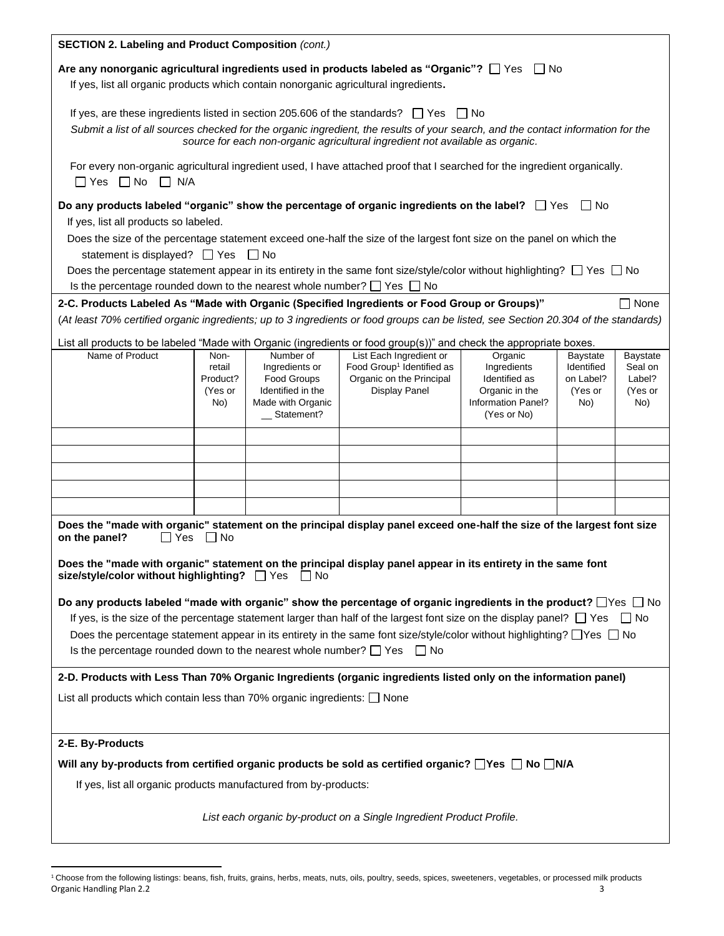| SECTION 2. Labeling and Product Composition (cont.)                                                                                                                                                                                 |                     |                                  |                                                                               |                                 |                      |                   |
|-------------------------------------------------------------------------------------------------------------------------------------------------------------------------------------------------------------------------------------|---------------------|----------------------------------|-------------------------------------------------------------------------------|---------------------------------|----------------------|-------------------|
| Are any nonorganic agricultural ingredients used in products labeled as "Organic"? $\Box$ Yes $\Box$ No                                                                                                                             |                     |                                  |                                                                               |                                 |                      |                   |
| If yes, list all organic products which contain nonorganic agricultural ingredients.                                                                                                                                                |                     |                                  |                                                                               |                                 |                      |                   |
|                                                                                                                                                                                                                                     |                     |                                  |                                                                               |                                 |                      |                   |
| If yes, are these ingredients listed in section 205.606 of the standards? $\Box$ Yes $\Box$ No                                                                                                                                      |                     |                                  |                                                                               |                                 |                      |                   |
| Submit a list of all sources checked for the organic ingredient, the results of your search, and the contact information for the                                                                                                    |                     |                                  | source for each non-organic agricultural ingredient not available as organic. |                                 |                      |                   |
| For every non-organic agricultural ingredient used, I have attached proof that I searched for the ingredient organically.                                                                                                           |                     |                                  |                                                                               |                                 |                      |                   |
| $\Box$ Yes $\Box$ No $\Box$ N/A                                                                                                                                                                                                     |                     |                                  |                                                                               |                                 |                      |                   |
| Do any products labeled "organic" show the percentage of organic ingredients on the label? $\Box$ Yes $\Box$ No                                                                                                                     |                     |                                  |                                                                               |                                 |                      |                   |
| If yes, list all products so labeled.                                                                                                                                                                                               |                     |                                  |                                                                               |                                 |                      |                   |
| Does the size of the percentage statement exceed one-half the size of the largest font size on the panel on which the                                                                                                               |                     |                                  |                                                                               |                                 |                      |                   |
| statement is displayed? □ Yes □ No                                                                                                                                                                                                  |                     |                                  |                                                                               |                                 |                      |                   |
| Does the percentage statement appear in its entirety in the same font size/style/color without highlighting? $\Box$ Yes $\Box$ No                                                                                                   |                     |                                  |                                                                               |                                 |                      |                   |
| Is the percentage rounded down to the nearest whole number? $\Box$ Yes $\Box$ No                                                                                                                                                    |                     |                                  |                                                                               |                                 |                      |                   |
| 2-C. Products Labeled As "Made with Organic (Specified Ingredients or Food Group or Groups)"<br>(At least 70% certified organic ingredients; up to 3 ingredients or food groups can be listed, see Section 20.304 of the standards) |                     |                                  |                                                                               |                                 |                      | None              |
|                                                                                                                                                                                                                                     |                     |                                  |                                                                               |                                 |                      |                   |
| List all products to be labeled "Made with Organic (ingredients or food group(s))" and check the appropriate boxes.<br>Name of Product                                                                                              | Non-                | Number of                        | List Each Ingredient or                                                       | Organic                         | Baystate             | Baystate          |
|                                                                                                                                                                                                                                     | retail              | Ingredients or                   | Food Group <sup>1</sup> Identified as                                         | Ingredients                     | Identified           | Seal on           |
|                                                                                                                                                                                                                                     | Product?<br>(Yes or | Food Groups<br>Identified in the | Organic on the Principal<br>Display Panel                                     | Identified as<br>Organic in the | on Label?<br>(Yes or | Label?<br>(Yes or |
|                                                                                                                                                                                                                                     | No)                 | Made with Organic                |                                                                               | Information Panel?              | No)                  | No)               |
|                                                                                                                                                                                                                                     |                     | Statement?                       |                                                                               | (Yes or No)                     |                      |                   |
|                                                                                                                                                                                                                                     |                     |                                  |                                                                               |                                 |                      |                   |
|                                                                                                                                                                                                                                     |                     |                                  |                                                                               |                                 |                      |                   |
|                                                                                                                                                                                                                                     |                     |                                  |                                                                               |                                 |                      |                   |
|                                                                                                                                                                                                                                     |                     |                                  |                                                                               |                                 |                      |                   |
|                                                                                                                                                                                                                                     |                     |                                  |                                                                               |                                 |                      |                   |
| Does the "made with organic" statement on the principal display panel exceed one-half the size of the largest font size                                                                                                             |                     |                                  |                                                                               |                                 |                      |                   |
| Yes<br>on the panel?<br>ΙI                                                                                                                                                                                                          | - I No              |                                  |                                                                               |                                 |                      |                   |
| Does the "made with organic" statement on the principal display panel appear in its entirety in the same font                                                                                                                       |                     |                                  |                                                                               |                                 |                      |                   |
| size/style/color without highlighting? □ Yes □ No                                                                                                                                                                                   |                     |                                  |                                                                               |                                 |                      |                   |
| Do any products labeled "made with organic" show the percentage of organic ingredients in the product? $\Box$ Yes $\Box$ No                                                                                                         |                     |                                  |                                                                               |                                 |                      |                   |
| If yes, is the size of the percentage statement larger than half of the largest font size on the display panel? $\Box$ Yes                                                                                                          |                     |                                  |                                                                               |                                 |                      | l I No            |
| Does the percentage statement appear in its entirety in the same font size/style/color without highlighting? $\Box$ Yes $\Box$ No                                                                                                   |                     |                                  |                                                                               |                                 |                      |                   |
| Is the percentage rounded down to the nearest whole number? $\Box$ Yes $\Box$ No                                                                                                                                                    |                     |                                  |                                                                               |                                 |                      |                   |
|                                                                                                                                                                                                                                     |                     |                                  |                                                                               |                                 |                      |                   |
| 2-D. Products with Less Than 70% Organic Ingredients (organic ingredients listed only on the information panel)                                                                                                                     |                     |                                  |                                                                               |                                 |                      |                   |
| List all products which contain less than 70% organic ingredients: $\Box$ None                                                                                                                                                      |                     |                                  |                                                                               |                                 |                      |                   |
|                                                                                                                                                                                                                                     |                     |                                  |                                                                               |                                 |                      |                   |
| 2-E. By-Products                                                                                                                                                                                                                    |                     |                                  |                                                                               |                                 |                      |                   |
| Will any by-products from certified organic products be sold as certified organic? $\Box$ Yes $\Box$ No $\Box$ N/A                                                                                                                  |                     |                                  |                                                                               |                                 |                      |                   |
| If yes, list all organic products manufactured from by-products:                                                                                                                                                                    |                     |                                  |                                                                               |                                 |                      |                   |
|                                                                                                                                                                                                                                     |                     |                                  |                                                                               |                                 |                      |                   |
|                                                                                                                                                                                                                                     |                     |                                  | List each organic by-product on a Single Ingredient Product Profile.          |                                 |                      |                   |
|                                                                                                                                                                                                                                     |                     |                                  |                                                                               |                                 |                      |                   |

Organic Handling Plan 2.2 3 <sup>1</sup> Choose from the following listings: beans, fish, fruits, grains, herbs, meats, nuts, oils, poultry, seeds, spices, sweeteners, vegetables, or processed milk products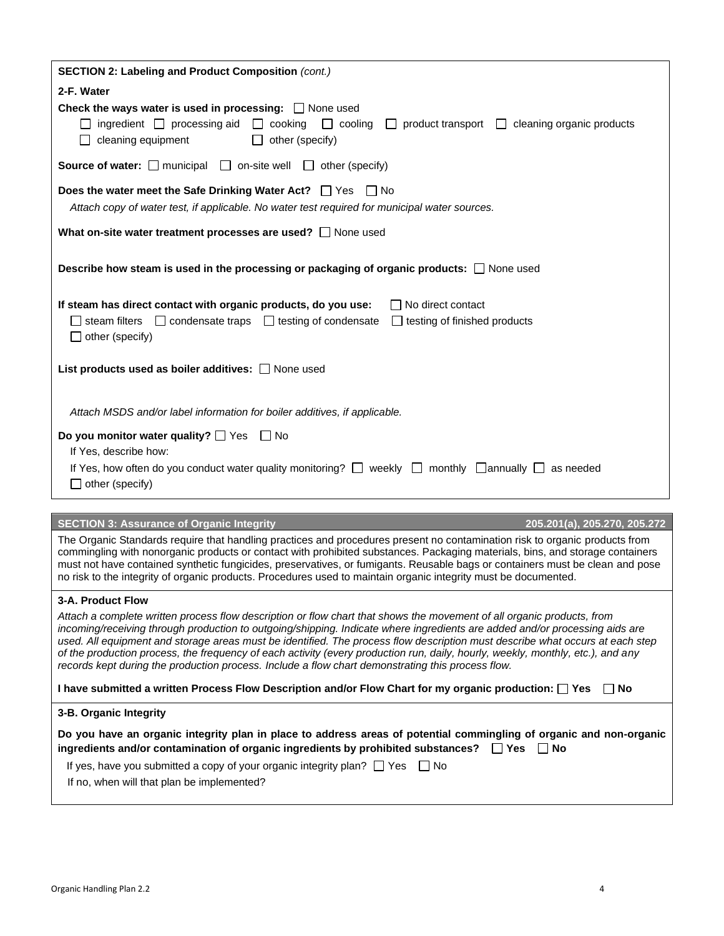| SECTION 2: Labeling and Product Composition (cont.)                                                                                                                                                                                                                                                                                                                                                                                                                                                              |
|------------------------------------------------------------------------------------------------------------------------------------------------------------------------------------------------------------------------------------------------------------------------------------------------------------------------------------------------------------------------------------------------------------------------------------------------------------------------------------------------------------------|
| 2-F. Water                                                                                                                                                                                                                                                                                                                                                                                                                                                                                                       |
| Check the ways water is used in processing: $\Box$ None used<br>ingredient $\Box$ processing aid $\Box$ cooking $\Box$ cooling $\Box$ product transport $\Box$ cleaning organic products<br>cleaning equipment<br>$\Box$ other (specify)                                                                                                                                                                                                                                                                         |
| <b>Source of water:</b> $\Box$ municipal $\Box$ on-site well $\Box$ other (specify)                                                                                                                                                                                                                                                                                                                                                                                                                              |
| <b>Does the water meet the Safe Drinking Water Act?</b> $\Box$ Yes $\Box$ No                                                                                                                                                                                                                                                                                                                                                                                                                                     |
| Attach copy of water test, if applicable. No water test required for municipal water sources.                                                                                                                                                                                                                                                                                                                                                                                                                    |
| What on-site water treatment processes are used? $\Box$ None used                                                                                                                                                                                                                                                                                                                                                                                                                                                |
| Describe how steam is used in the processing or packaging of organic products: $\Box$ None used                                                                                                                                                                                                                                                                                                                                                                                                                  |
| If steam has direct contact with organic products, do you use:<br>$\Box$ No direct contact                                                                                                                                                                                                                                                                                                                                                                                                                       |
| $\Box$ steam filters $\Box$ condensate traps $\Box$ testing of condensate<br>$\Box$ testing of finished products                                                                                                                                                                                                                                                                                                                                                                                                 |
| $\Box$ other (specify)                                                                                                                                                                                                                                                                                                                                                                                                                                                                                           |
| List products used as boiler additives: $\Box$ None used                                                                                                                                                                                                                                                                                                                                                                                                                                                         |
| Attach MSDS and/or label information for boiler additives, if applicable.                                                                                                                                                                                                                                                                                                                                                                                                                                        |
| Do you monitor water quality? $\Box$ Yes $\Box$ No                                                                                                                                                                                                                                                                                                                                                                                                                                                               |
| If Yes, describe how:                                                                                                                                                                                                                                                                                                                                                                                                                                                                                            |
| If Yes, how often do you conduct water quality monitoring? $\Box$ weekly $\Box$ monthly $\Box$ annually $\Box$ as needed                                                                                                                                                                                                                                                                                                                                                                                         |
| $\Box$ other (specify)                                                                                                                                                                                                                                                                                                                                                                                                                                                                                           |
|                                                                                                                                                                                                                                                                                                                                                                                                                                                                                                                  |
| <b>SECTION 3: Assurance of Organic Integrity</b><br>205.201(a), 205.270, 205.272                                                                                                                                                                                                                                                                                                                                                                                                                                 |
| The Organic Standards require that handling practices and procedures present no contamination risk to organic products from<br>commingling with nonorganic products or contact with prohibited substances. Packaging materials, bins, and storage containers<br>must not have contained synthetic fungicides, preservatives, or fumigants. Reusable bags or containers must be clean and pose<br>no risk to the integrity of organic products. Procedures used to maintain organic integrity must be documented. |
| 3-A. Product Flow                                                                                                                                                                                                                                                                                                                                                                                                                                                                                                |
| Attach a complete written process flow description or flow chart that shows the movement of all organic products, from                                                                                                                                                                                                                                                                                                                                                                                           |
| incoming/receiving through production to outgoing/shipping. Indicate where ingredients are added and/or processing aids are                                                                                                                                                                                                                                                                                                                                                                                      |
| used. All equipment and storage areas must be identified. The process flow description must describe what occurs at each step<br>of the production process, the frequency of each activity (every production run, daily, hourly, weekly, monthly, etc.), and any                                                                                                                                                                                                                                                 |
| records kept during the production process. Include a flow chart demonstrating this process flow.                                                                                                                                                                                                                                                                                                                                                                                                                |
| I have submitted a written Process Flow Description and/or Flow Chart for my organic production: [2] Yes<br>∣ I No                                                                                                                                                                                                                                                                                                                                                                                               |
| 3-B. Organic Integrity                                                                                                                                                                                                                                                                                                                                                                                                                                                                                           |
| Do you have an organic integrity plan in place to address areas of potential commingling of organic and non-organic                                                                                                                                                                                                                                                                                                                                                                                              |
| ingredients and/or contamination of organic ingredients by prohibited substances? $\Box$ Yes $\Box$ No                                                                                                                                                                                                                                                                                                                                                                                                           |
| If yes, have you submitted a copy of your organic integrity plan? $\Box$ Yes $\Box$ No                                                                                                                                                                                                                                                                                                                                                                                                                           |
| If no, when will that plan be implemented?                                                                                                                                                                                                                                                                                                                                                                                                                                                                       |
|                                                                                                                                                                                                                                                                                                                                                                                                                                                                                                                  |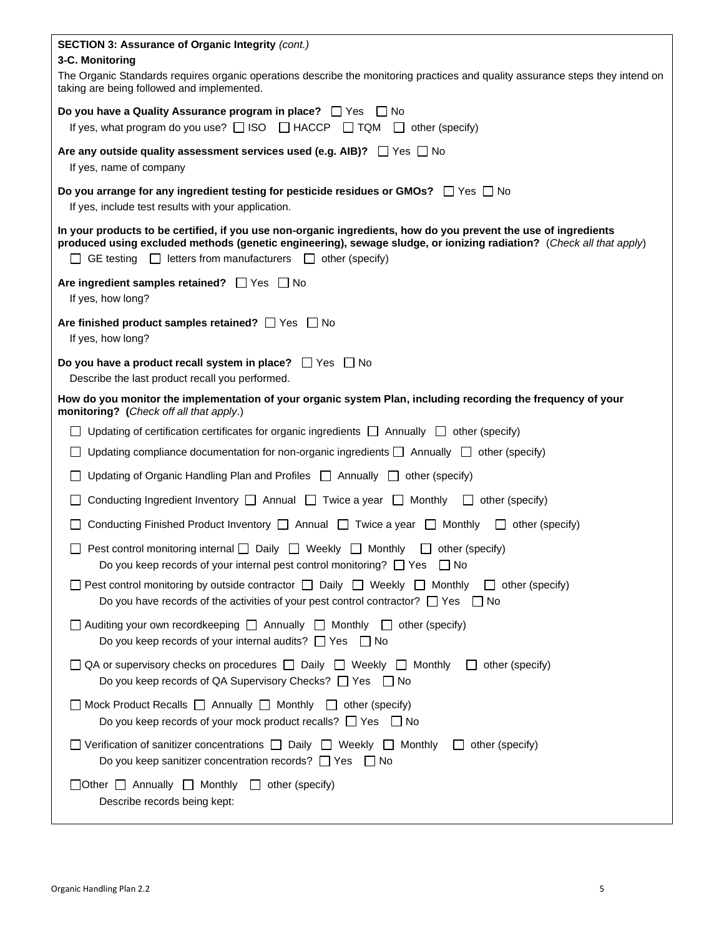| SECTION 3: Assurance of Organic Integrity (cont.)                                                                                                                                                                                                                                                                    |
|----------------------------------------------------------------------------------------------------------------------------------------------------------------------------------------------------------------------------------------------------------------------------------------------------------------------|
| 3-C. Monitoring<br>The Organic Standards requires organic operations describe the monitoring practices and quality assurance steps they intend on<br>taking are being followed and implemented.                                                                                                                      |
| Do you have a Quality Assurance program in place? $\Box$ Yes $\Box$ No<br>If yes, what program do you use? $\Box$ ISO $\Box$ HACCP $\Box$ TQM $\Box$ other (specify)                                                                                                                                                 |
| Are any outside quality assessment services used (e.g. AIB)? $\Box$ Yes $\Box$ No<br>If yes, name of company                                                                                                                                                                                                         |
| Do you arrange for any ingredient testing for pesticide residues or GMOs? $\Box$ Yes $\Box$ No<br>If yes, include test results with your application.                                                                                                                                                                |
| In your products to be certified, if you use non-organic ingredients, how do you prevent the use of ingredients<br>produced using excluded methods (genetic engineering), sewage sludge, or ionizing radiation? (Check all that apply)<br>$\Box$ GE testing $\Box$ letters from manufacturers $\Box$ other (specify) |
| Are ingredient samples retained? Ves No<br>If yes, how long?                                                                                                                                                                                                                                                         |
| Are finished product samples retained? $\Box$ Yes $\Box$ No<br>If yes, how long?                                                                                                                                                                                                                                     |
| Do you have a product recall system in place? $\Box$ Yes $\Box$ No<br>Describe the last product recall you performed.                                                                                                                                                                                                |
| How do you monitor the implementation of your organic system Plan, including recording the frequency of your<br>monitoring? (Check off all that apply.)                                                                                                                                                              |
| Updating of certification certificates for organic ingredients $\Box$ Annually $\Box$ other (specify)                                                                                                                                                                                                                |
| Updating compliance documentation for non-organic ingredients $\Box$ Annually $\Box$ other (specify)                                                                                                                                                                                                                 |
| Updating of Organic Handling Plan and Profiles $\Box$ Annually $\Box$ other (specify)<br>$\Box$                                                                                                                                                                                                                      |
| Conducting Ingredient Inventory $\Box$ Annual $\Box$ Twice a year $\Box$ Monthly $\Box$ other (specify)                                                                                                                                                                                                              |
| Conducting Finished Product Inventory $\Box$ Annual $\Box$ Twice a year $\Box$ Monthly<br>$\Box$ other (specify)                                                                                                                                                                                                     |
| Pest control monitoring internal $\Box$ Daily $\Box$ Weekly $\Box$ Monthly $\Box$ other (specify)<br>$\mathsf{L}$<br>Do you keep records of your internal pest control monitoring? □ Yes □ No                                                                                                                        |
| $\Box$ Pest control monitoring by outside contractor $\Box$ Daily $\Box$ Weekly $\Box$ Monthly<br>$\Box$ other (specify)<br>Do you have records of the activities of your pest control contractor? $\Box$ Yes $\Box$ No                                                                                              |
| $\Box$ Auditing your own recordkeeping $\Box$ Annually $\Box$ Monthly $\Box$ other (specify)<br>Do you keep records of your internal audits? $\Box$ Yes<br>l INo                                                                                                                                                     |
| $\Box$ QA or supervisory checks on procedures $\Box$ Daily $\Box$ Weekly $\Box$ Monthly<br>other (specify)<br>Do you keep records of QA Supervisory Checks? □ Yes □ No                                                                                                                                               |
| $\Box$ Mock Product Recalls $\Box$ Annually $\Box$ Monthly $\Box$ other (specify)<br>Do you keep records of your mock product recalls? $\Box$ Yes $\Box$ No                                                                                                                                                          |
| $\Box$ Verification of sanitizer concentrations $\Box$ Daily $\Box$ Weekly $\Box$ Monthly<br>other (specify)<br>$\mathbf{1}$<br>Do you keep sanitizer concentration records? $\Box$ Yes $\Box$ No                                                                                                                    |
| $\Box$ Other $\Box$ Annually $\Box$ Monthly<br>$\Box$ other (specify)<br>Describe records being kept:                                                                                                                                                                                                                |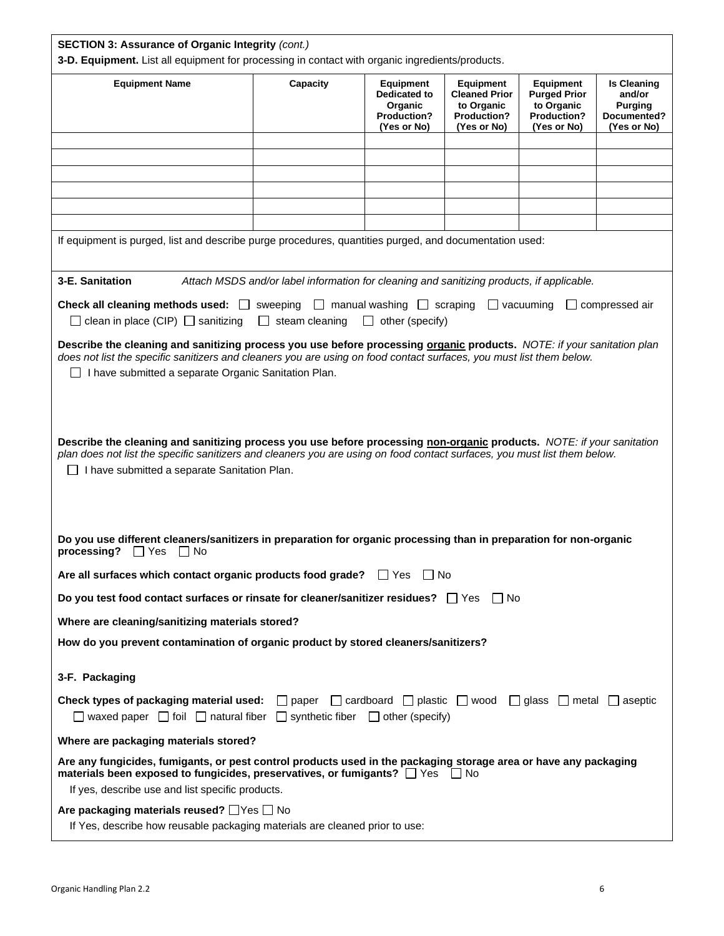| SECTION 3: Assurance of Organic Integrity (cont.)                                                                                                                                                                                                                                                                                                                                                                                                                                                     |                                                                                           |  |  |  |                       |  |
|-------------------------------------------------------------------------------------------------------------------------------------------------------------------------------------------------------------------------------------------------------------------------------------------------------------------------------------------------------------------------------------------------------------------------------------------------------------------------------------------------------|-------------------------------------------------------------------------------------------|--|--|--|-----------------------|--|
| 3-D. Equipment. List all equipment for processing in contact with organic ingredients/products.<br><b>Equipment Name</b><br>Capacity<br><b>Equipment</b><br><b>Equipment</b><br><b>Equipment</b><br><b>Is Cleaning</b><br><b>Dedicated to</b><br><b>Cleaned Prior</b><br>and/or<br><b>Purged Prior</b><br>to Organic<br>Organic<br>to Organic<br><b>Purging</b><br><b>Production?</b><br><b>Production?</b><br>Documented?<br>Production?<br>(Yes or No)<br>(Yes or No)<br>(Yes or No)<br>(Yes or No) |                                                                                           |  |  |  |                       |  |
|                                                                                                                                                                                                                                                                                                                                                                                                                                                                                                       |                                                                                           |  |  |  |                       |  |
|                                                                                                                                                                                                                                                                                                                                                                                                                                                                                                       |                                                                                           |  |  |  |                       |  |
|                                                                                                                                                                                                                                                                                                                                                                                                                                                                                                       |                                                                                           |  |  |  |                       |  |
|                                                                                                                                                                                                                                                                                                                                                                                                                                                                                                       |                                                                                           |  |  |  |                       |  |
| If equipment is purged, list and describe purge procedures, quantities purged, and documentation used:                                                                                                                                                                                                                                                                                                                                                                                                |                                                                                           |  |  |  |                       |  |
| 3-E. Sanitation                                                                                                                                                                                                                                                                                                                                                                                                                                                                                       | Attach MSDS and/or label information for cleaning and sanitizing products, if applicable. |  |  |  |                       |  |
| <b>Check all cleaning methods used:</b> $\Box$ sweeping $\Box$ manual washing $\Box$ scraping $\Box$ vacuuming<br>$\Box$ clean in place (CIP) $\Box$ sanitizing $\Box$ steam cleaning $\Box$ other (specify)                                                                                                                                                                                                                                                                                          |                                                                                           |  |  |  | $\Box$ compressed air |  |
| Describe the cleaning and sanitizing process you use before processing organic products. NOTE: if your sanitation plan<br>does not list the specific sanitizers and cleaners you are using on food contact surfaces, you must list them below.<br>I have submitted a separate Organic Sanitation Plan.                                                                                                                                                                                                |                                                                                           |  |  |  |                       |  |
| Describe the cleaning and sanitizing process you use before processing non-organic products. NOTE: if your sanitation<br>plan does not list the specific sanitizers and cleaners you are using on food contact surfaces, you must list them below.<br>I have submitted a separate Sanitation Plan.                                                                                                                                                                                                    |                                                                                           |  |  |  |                       |  |
| Do you use different cleaners/sanitizers in preparation for organic processing than in preparation for non-organic<br>processing?<br>$\Box$ Yes<br>$\Box$ No                                                                                                                                                                                                                                                                                                                                          |                                                                                           |  |  |  |                       |  |
| Are all surfaces which contact organic products food grade? $\Box$ Yes $\Box$ No                                                                                                                                                                                                                                                                                                                                                                                                                      |                                                                                           |  |  |  |                       |  |
| Do you test food contact surfaces or rinsate for cleaner/sanitizer residues? $\Box$ Yes $\Box$ No                                                                                                                                                                                                                                                                                                                                                                                                     |                                                                                           |  |  |  |                       |  |
| Where are cleaning/sanitizing materials stored?                                                                                                                                                                                                                                                                                                                                                                                                                                                       |                                                                                           |  |  |  |                       |  |
| How do you prevent contamination of organic product by stored cleaners/sanitizers?                                                                                                                                                                                                                                                                                                                                                                                                                    |                                                                                           |  |  |  |                       |  |
| 3-F. Packaging                                                                                                                                                                                                                                                                                                                                                                                                                                                                                        |                                                                                           |  |  |  |                       |  |
| <b>Check types of packaging material used:</b> $\Box$ paper $\Box$ cardboard $\Box$ plastic $\Box$ wood $\Box$ glass $\Box$ metal $\Box$ aseptic<br>$\Box$ waxed paper $\Box$ foil $\Box$ natural fiber $\Box$ synthetic fiber $\Box$ other (specify)                                                                                                                                                                                                                                                 |                                                                                           |  |  |  |                       |  |
| Where are packaging materials stored?                                                                                                                                                                                                                                                                                                                                                                                                                                                                 |                                                                                           |  |  |  |                       |  |
| Are any fungicides, fumigants, or pest control products used in the packaging storage area or have any packaging<br>materials been exposed to fungicides, preservatives, or fumigants? □ Yes □ No<br>If yes, describe use and list specific products.                                                                                                                                                                                                                                                 |                                                                                           |  |  |  |                       |  |
| Are packaging materials reused? □ Yes □ No<br>If Yes, describe how reusable packaging materials are cleaned prior to use:                                                                                                                                                                                                                                                                                                                                                                             |                                                                                           |  |  |  |                       |  |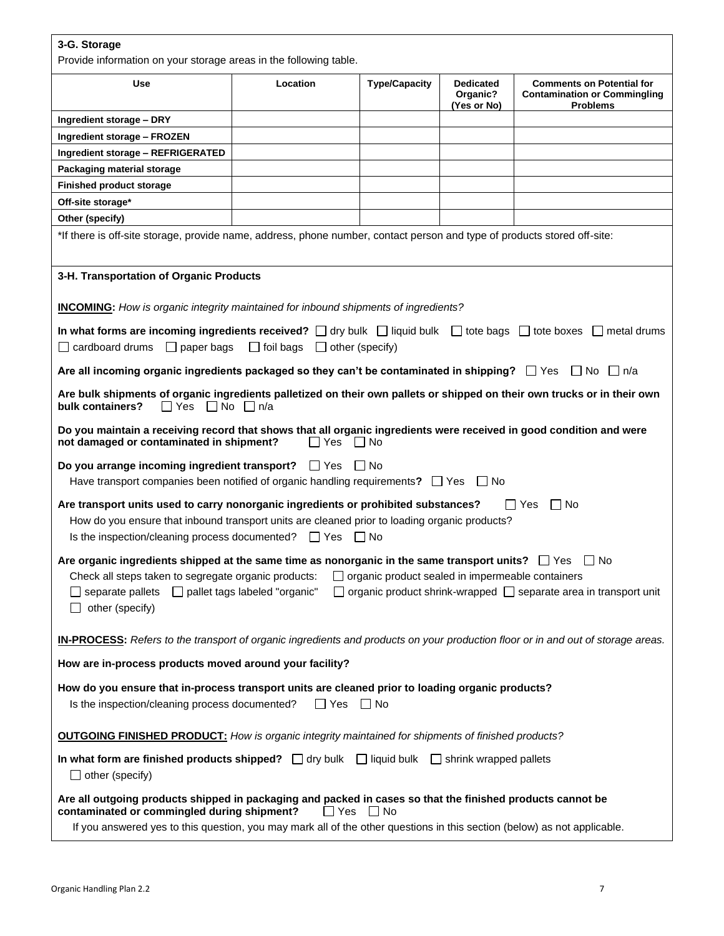## **3-G. Storage**

Provide information on your storage areas in the following table.

|                                                                                                                                                                                                                                                                                                                                                                                 | Provide information on your storage areas in the following table. |                      |                                             |                                                                                            |  |  |
|---------------------------------------------------------------------------------------------------------------------------------------------------------------------------------------------------------------------------------------------------------------------------------------------------------------------------------------------------------------------------------|-------------------------------------------------------------------|----------------------|---------------------------------------------|--------------------------------------------------------------------------------------------|--|--|
| <b>Use</b>                                                                                                                                                                                                                                                                                                                                                                      | Location                                                          | <b>Type/Capacity</b> | <b>Dedicated</b><br>Organic?<br>(Yes or No) | <b>Comments on Potential for</b><br><b>Contamination or Commingling</b><br><b>Problems</b> |  |  |
| Ingredient storage - DRY                                                                                                                                                                                                                                                                                                                                                        |                                                                   |                      |                                             |                                                                                            |  |  |
| Ingredient storage - FROZEN                                                                                                                                                                                                                                                                                                                                                     |                                                                   |                      |                                             |                                                                                            |  |  |
| Ingredient storage - REFRIGERATED                                                                                                                                                                                                                                                                                                                                               |                                                                   |                      |                                             |                                                                                            |  |  |
| Packaging material storage                                                                                                                                                                                                                                                                                                                                                      |                                                                   |                      |                                             |                                                                                            |  |  |
| <b>Finished product storage</b>                                                                                                                                                                                                                                                                                                                                                 |                                                                   |                      |                                             |                                                                                            |  |  |
| Off-site storage*                                                                                                                                                                                                                                                                                                                                                               |                                                                   |                      |                                             |                                                                                            |  |  |
| Other (specify)                                                                                                                                                                                                                                                                                                                                                                 |                                                                   |                      |                                             |                                                                                            |  |  |
| *If there is off-site storage, provide name, address, phone number, contact person and type of products stored off-site:                                                                                                                                                                                                                                                        |                                                                   |                      |                                             |                                                                                            |  |  |
| 3-H. Transportation of Organic Products                                                                                                                                                                                                                                                                                                                                         |                                                                   |                      |                                             |                                                                                            |  |  |
| <b>INCOMING:</b> How is organic integrity maintained for inbound shipments of ingredients?                                                                                                                                                                                                                                                                                      |                                                                   |                      |                                             |                                                                                            |  |  |
| In what forms are incoming ingredients received? $\Box$ dry bulk $\Box$ liquid bulk $\Box$ tote bags $\Box$ tote boxes $\Box$ metal drums<br>$\Box$ cardboard drums $\Box$ paper bags $\Box$ foil bags $\Box$ other (specify)                                                                                                                                                   |                                                                   |                      |                                             |                                                                                            |  |  |
| Are all incoming organic ingredients packaged so they can't be contaminated in shipping? $\Box$ Yes $\Box$ No $\Box$ n/a                                                                                                                                                                                                                                                        |                                                                   |                      |                                             |                                                                                            |  |  |
| Are bulk shipments of organic ingredients palletized on their own pallets or shipped on their own trucks or in their own<br>$\Box$ Yes $\Box$ No $\Box$ n/a<br>bulk containers?                                                                                                                                                                                                 |                                                                   |                      |                                             |                                                                                            |  |  |
| Do you maintain a receiving record that shows that all organic ingredients were received in good condition and were<br>not damaged or contaminated in shipment?                                                                                                                                                                                                                 | $\Box$ Yes $\Box$ No                                              |                      |                                             |                                                                                            |  |  |
| Do you arrange incoming ingredient transport? $\Box$ Yes $\Box$ No<br>Have transport companies been notified of organic handling requirements? $\Box$ Yes $\Box$ No                                                                                                                                                                                                             |                                                                   |                      |                                             |                                                                                            |  |  |
| Are transport units used to carry nonorganic ingredients or prohibited substances?<br>$\Box$ Yes<br>l INo<br>How do you ensure that inbound transport units are cleaned prior to loading organic products?<br>Is the inspection/cleaning process documented? $\Box$ Yes $\Box$ No                                                                                               |                                                                   |                      |                                             |                                                                                            |  |  |
| Are organic ingredients shipped at the same time as nonorganic in the same transport units? $\Box$ Yes $\Box$ No<br>$\Box$ organic product sealed in impermeable containers<br>Check all steps taken to segregate organic products:<br>□ separate pallets □ pallet tags labeled "organic" □ organic product shrink-wrapped □ separate area in transport unit<br>other (specify) |                                                                   |                      |                                             |                                                                                            |  |  |
| <b>IN-PROCESS:</b> Refers to the transport of organic ingredients and products on your production floor or in and out of storage areas.                                                                                                                                                                                                                                         |                                                                   |                      |                                             |                                                                                            |  |  |
| How are in-process products moved around your facility?                                                                                                                                                                                                                                                                                                                         |                                                                   |                      |                                             |                                                                                            |  |  |
| How do you ensure that in-process transport units are cleaned prior to loading organic products?<br>Is the inspection/cleaning process documented?<br>$\Box$ Yes $\Box$ No                                                                                                                                                                                                      |                                                                   |                      |                                             |                                                                                            |  |  |
| <b>OUTGOING FINISHED PRODUCT:</b> How is organic integrity maintained for shipments of finished products?                                                                                                                                                                                                                                                                       |                                                                   |                      |                                             |                                                                                            |  |  |
| In what form are finished products shipped? $\Box$ dry bulk $\Box$ liquid bulk $\Box$ shrink wrapped pallets<br>$\Box$ other (specify)                                                                                                                                                                                                                                          |                                                                   |                      |                                             |                                                                                            |  |  |
| Are all outgoing products shipped in packaging and packed in cases so that the finished products cannot be<br>contaminated or commingled during shipment?<br>If you answered yes to this question, you may mark all of the other questions in this section (below) as not applicable.                                                                                           | $\Box$ Yes                                                        | $\Box$ No            |                                             |                                                                                            |  |  |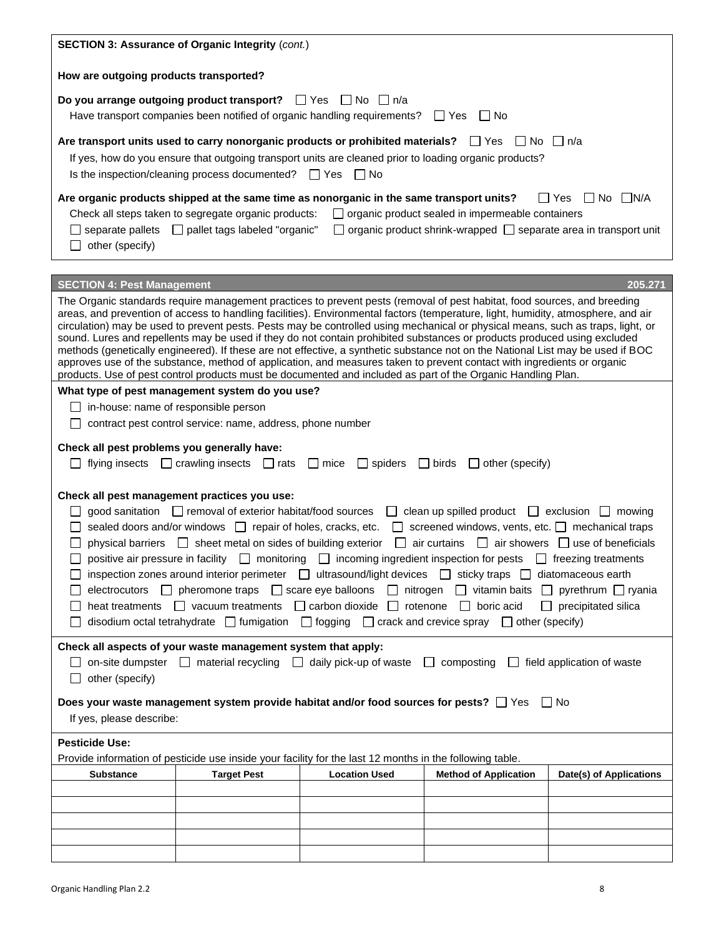| SECTION 3: Assurance of Organic Integrity (cont.)                                                                                                                                                                                                                                                                                                                                                     |                                                                                                                                                                                                                                                                                   |                      |                                                                                                                                                                                                                                                                                                                                                                                                                                                                                                                                                                                                                                                                                                                                                                                                                                                                                                            |                            |  |  |  |
|-------------------------------------------------------------------------------------------------------------------------------------------------------------------------------------------------------------------------------------------------------------------------------------------------------------------------------------------------------------------------------------------------------|-----------------------------------------------------------------------------------------------------------------------------------------------------------------------------------------------------------------------------------------------------------------------------------|----------------------|------------------------------------------------------------------------------------------------------------------------------------------------------------------------------------------------------------------------------------------------------------------------------------------------------------------------------------------------------------------------------------------------------------------------------------------------------------------------------------------------------------------------------------------------------------------------------------------------------------------------------------------------------------------------------------------------------------------------------------------------------------------------------------------------------------------------------------------------------------------------------------------------------------|----------------------------|--|--|--|
| How are outgoing products transported?                                                                                                                                                                                                                                                                                                                                                                |                                                                                                                                                                                                                                                                                   |                      |                                                                                                                                                                                                                                                                                                                                                                                                                                                                                                                                                                                                                                                                                                                                                                                                                                                                                                            |                            |  |  |  |
| Do you arrange outgoing product transport? $\Box$ Yes $\Box$ No $\Box$ n/a<br>Have transport companies been notified of organic handling requirements?<br>$\Box$ Yes<br>l INo                                                                                                                                                                                                                         |                                                                                                                                                                                                                                                                                   |                      |                                                                                                                                                                                                                                                                                                                                                                                                                                                                                                                                                                                                                                                                                                                                                                                                                                                                                                            |                            |  |  |  |
| Are transport units used to carry nonorganic products or prohibited materials? $\square$ Yes<br>∣ ∣No<br>∣ In/a<br>If yes, how do you ensure that outgoing transport units are cleaned prior to loading organic products?<br>Is the inspection/cleaning process documented? □ Yes □ No                                                                                                                |                                                                                                                                                                                                                                                                                   |                      |                                                                                                                                                                                                                                                                                                                                                                                                                                                                                                                                                                                                                                                                                                                                                                                                                                                                                                            |                            |  |  |  |
| Are organic products shipped at the same time as nonorganic in the same transport units?<br>$\Box$ No $\Box$ N/A<br>l I Yes<br>Check all steps taken to segregate organic products:<br>$\Box$ organic product sealed in impermeable containers<br>organic product shrink-wrapped □ separate area in transport unit<br>$\Box$ separate pallets $\Box$ pallet tags labeled "organic"<br>other (specify) |                                                                                                                                                                                                                                                                                   |                      |                                                                                                                                                                                                                                                                                                                                                                                                                                                                                                                                                                                                                                                                                                                                                                                                                                                                                                            |                            |  |  |  |
| <b>SECTION 4: Pest Management</b>                                                                                                                                                                                                                                                                                                                                                                     |                                                                                                                                                                                                                                                                                   |                      |                                                                                                                                                                                                                                                                                                                                                                                                                                                                                                                                                                                                                                                                                                                                                                                                                                                                                                            | 205.271                    |  |  |  |
|                                                                                                                                                                                                                                                                                                                                                                                                       |                                                                                                                                                                                                                                                                                   |                      | The Organic standards require management practices to prevent pests (removal of pest habitat, food sources, and breeding<br>areas, and prevention of access to handling facilities). Environmental factors (temperature, light, humidity, atmosphere, and air<br>circulation) may be used to prevent pests. Pests may be controlled using mechanical or physical means, such as traps, light, or<br>sound. Lures and repellents may be used if they do not contain prohibited substances or products produced using excluded<br>methods (genetically engineered). If these are not effective, a synthetic substance not on the National List may be used if BOC<br>approves use of the substance, method of application, and measures taken to prevent contact with ingredients or organic<br>products. Use of pest control products must be documented and included as part of the Organic Handling Plan. |                            |  |  |  |
| $\Box$ in-house: name of responsible person                                                                                                                                                                                                                                                                                                                                                           | What type of pest management system do you use?                                                                                                                                                                                                                                   |                      |                                                                                                                                                                                                                                                                                                                                                                                                                                                                                                                                                                                                                                                                                                                                                                                                                                                                                                            |                            |  |  |  |
|                                                                                                                                                                                                                                                                                                                                                                                                       | contract pest control service: name, address, phone number                                                                                                                                                                                                                        |                      |                                                                                                                                                                                                                                                                                                                                                                                                                                                                                                                                                                                                                                                                                                                                                                                                                                                                                                            |                            |  |  |  |
| Check all pest problems you generally have:<br>flying insects $\Box$ crawling insects $\Box$ rats<br>$\Box$ spiders<br>$\Box$ mice<br>$\Box$ birds<br>$\Box$ other (specify)                                                                                                                                                                                                                          |                                                                                                                                                                                                                                                                                   |                      |                                                                                                                                                                                                                                                                                                                                                                                                                                                                                                                                                                                                                                                                                                                                                                                                                                                                                                            |                            |  |  |  |
| Check all pest management practices you use:                                                                                                                                                                                                                                                                                                                                                          | good sanitation □ removal of exterior habitat/food sources<br>sealed doors and/or windows   repair of holes, cracks, etc.<br>physical barriers <b>I</b> sheet metal on sides of building exterior<br>heat treatments □ vacuum treatments □ carbon dioxide □ rotenone □ boric acid | $\mathbf{L}$         | $\Box$ clean up spilled product $\Box$ exclusion $\Box$ mowing<br>screened windows, vents, etc. nechanical traps<br>air curtains $\Box$ air showers $\Box$ use of beneficials<br>positive air pressure in facility $\Box$ monitoring $\Box$ incoming ingredient inspection for pests $\Box$ freezing treatments<br>inspection zones around interior perimeter $\Box$ ultrasound/light devices $\Box$ sticky traps $\Box$ diatomaceous earth<br>electrocutors $\Box$ pheromone traps $\Box$ scare eye balloons $\Box$ nitrogen $\Box$ vitamin baits $\Box$ pyrethrum $\Box$ ryania<br>disodium octal tetrahydrate $\Box$ fumigation $\Box$ fogging $\Box$ crack and crevice spray $\Box$ other (specify)                                                                                                                                                                                                    | $\Box$ precipitated silica |  |  |  |
| Check all aspects of your waste management system that apply:<br>$\Box$ on-site dumpster $\Box$ material recycling $\Box$ daily pick-up of waste $\Box$<br>composting $\Box$ field application of waste                                                                                                                                                                                               |                                                                                                                                                                                                                                                                                   |                      |                                                                                                                                                                                                                                                                                                                                                                                                                                                                                                                                                                                                                                                                                                                                                                                                                                                                                                            |                            |  |  |  |
| $\Box$ other (specify)<br>Does your waste management system provide habitat and/or food sources for pests? $\Box$ Yes $\Box$ No<br>If yes, please describe:                                                                                                                                                                                                                                           |                                                                                                                                                                                                                                                                                   |                      |                                                                                                                                                                                                                                                                                                                                                                                                                                                                                                                                                                                                                                                                                                                                                                                                                                                                                                            |                            |  |  |  |
| <b>Pesticide Use:</b>                                                                                                                                                                                                                                                                                                                                                                                 |                                                                                                                                                                                                                                                                                   |                      |                                                                                                                                                                                                                                                                                                                                                                                                                                                                                                                                                                                                                                                                                                                                                                                                                                                                                                            |                            |  |  |  |
| <b>Substance</b>                                                                                                                                                                                                                                                                                                                                                                                      | Provide information of pesticide use inside your facility for the last 12 months in the following table.<br><b>Target Pest</b>                                                                                                                                                    | <b>Location Used</b> | <b>Method of Application</b>                                                                                                                                                                                                                                                                                                                                                                                                                                                                                                                                                                                                                                                                                                                                                                                                                                                                               | Date(s) of Applications    |  |  |  |
|                                                                                                                                                                                                                                                                                                                                                                                                       |                                                                                                                                                                                                                                                                                   |                      |                                                                                                                                                                                                                                                                                                                                                                                                                                                                                                                                                                                                                                                                                                                                                                                                                                                                                                            |                            |  |  |  |
|                                                                                                                                                                                                                                                                                                                                                                                                       |                                                                                                                                                                                                                                                                                   |                      |                                                                                                                                                                                                                                                                                                                                                                                                                                                                                                                                                                                                                                                                                                                                                                                                                                                                                                            |                            |  |  |  |
|                                                                                                                                                                                                                                                                                                                                                                                                       |                                                                                                                                                                                                                                                                                   |                      |                                                                                                                                                                                                                                                                                                                                                                                                                                                                                                                                                                                                                                                                                                                                                                                                                                                                                                            |                            |  |  |  |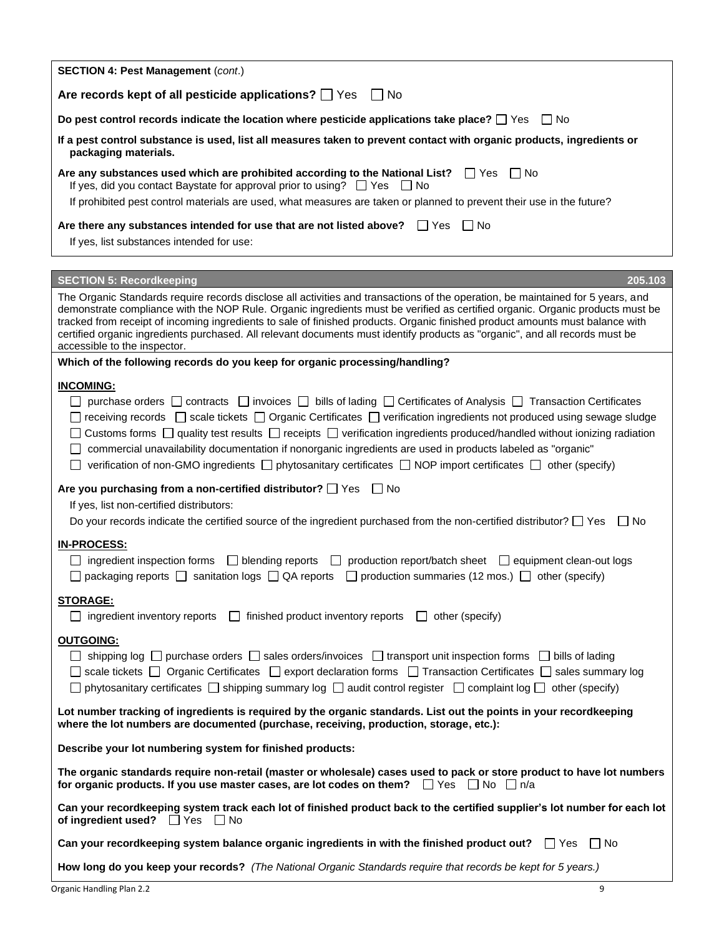| <b>SECTION 4: Pest Management (cont.)</b>                                                                                                                                                                                                                                                                                                                                                                                                                                                                                                                                                                                                                                                  |
|--------------------------------------------------------------------------------------------------------------------------------------------------------------------------------------------------------------------------------------------------------------------------------------------------------------------------------------------------------------------------------------------------------------------------------------------------------------------------------------------------------------------------------------------------------------------------------------------------------------------------------------------------------------------------------------------|
| Are records kept of all pesticide applications? Ves<br>l INo                                                                                                                                                                                                                                                                                                                                                                                                                                                                                                                                                                                                                               |
| Do pest control records indicate the location where pesticide applications take place? $\Box$ Yes $\Box$ No                                                                                                                                                                                                                                                                                                                                                                                                                                                                                                                                                                                |
| If a pest control substance is used, list all measures taken to prevent contact with organic products, ingredients or<br>packaging materials.                                                                                                                                                                                                                                                                                                                                                                                                                                                                                                                                              |
| Are any substances used which are prohibited according to the National List? $\square$ Yes<br>l INo<br>If yes, did you contact Baystate for approval prior to using? $\Box$ Yes $\Box$ No                                                                                                                                                                                                                                                                                                                                                                                                                                                                                                  |
| If prohibited pest control materials are used, what measures are taken or planned to prevent their use in the future?                                                                                                                                                                                                                                                                                                                                                                                                                                                                                                                                                                      |
| Are there any substances intended for use that are not listed above? $\Box$ Yes<br>l INo                                                                                                                                                                                                                                                                                                                                                                                                                                                                                                                                                                                                   |
| If yes, list substances intended for use:                                                                                                                                                                                                                                                                                                                                                                                                                                                                                                                                                                                                                                                  |
| <b>SECTION 5: Recordkeeping</b><br>205.103                                                                                                                                                                                                                                                                                                                                                                                                                                                                                                                                                                                                                                                 |
|                                                                                                                                                                                                                                                                                                                                                                                                                                                                                                                                                                                                                                                                                            |
| The Organic Standards require records disclose all activities and transactions of the operation, be maintained for 5 years, and<br>demonstrate compliance with the NOP Rule. Organic ingredients must be verified as certified organic. Organic products must be<br>tracked from receipt of incoming ingredients to sale of finished products. Organic finished product amounts must balance with<br>certified organic ingredients purchased. All relevant documents must identify products as "organic", and all records must be<br>accessible to the inspector.                                                                                                                          |
| Which of the following records do you keep for organic processing/handling?                                                                                                                                                                                                                                                                                                                                                                                                                                                                                                                                                                                                                |
| <b>INCOMING:</b>                                                                                                                                                                                                                                                                                                                                                                                                                                                                                                                                                                                                                                                                           |
| $\Box$ purchase orders $\Box$ contracts $\Box$ invoices $\Box$ bills of lading $\Box$ Certificates of Analysis $\Box$ Transaction Certificates<br>$\Box$ receiving records $\Box$ scale tickets $\Box$ Organic Certificates $\Box$ verification ingredients not produced using sewage sludge<br>$\Box$ Customs forms $\Box$ quality test results $\Box$ receipts $\Box$ verification ingredients produced/handled without ionizing radiation<br>commercial unavailability documentation if nonorganic ingredients are used in products labeled as "organic"<br>verification of non-GMO ingredients $\Box$ phytosanitary certificates $\Box$ NOP import certificates $\Box$ other (specify) |
| Are you purchasing from a non-certified distributor? $\Box$ Yes $\Box$ No                                                                                                                                                                                                                                                                                                                                                                                                                                                                                                                                                                                                                  |
| If yes, list non-certified distributors:                                                                                                                                                                                                                                                                                                                                                                                                                                                                                                                                                                                                                                                   |
| Do your records indicate the certified source of the ingredient purchased from the non-certified distributor? $\Box$ Yes $\Box$ No                                                                                                                                                                                                                                                                                                                                                                                                                                                                                                                                                         |
| <b>IN-PROCESS:</b>                                                                                                                                                                                                                                                                                                                                                                                                                                                                                                                                                                                                                                                                         |
| $\Box$ ingredient inspection forms $\Box$ blending reports $\Box$ production report/batch sheet $\Box$ equipment clean-out logs<br>$\Box$ packaging reports $\Box$ sanitation logs $\Box$ QA reports $\Box$ production summaries (12 mos.) $\Box$ other (specify)                                                                                                                                                                                                                                                                                                                                                                                                                          |
| <b>STORAGE:</b>                                                                                                                                                                                                                                                                                                                                                                                                                                                                                                                                                                                                                                                                            |
| $\Box$ ingredient inventory reports<br>$\Box$ finished product inventory reports $\Box$ other (specify)                                                                                                                                                                                                                                                                                                                                                                                                                                                                                                                                                                                    |
| <b>OUTGOING:</b><br>$\Box$ shipping log $\Box$ purchase orders $\Box$ sales orders/invoices $\Box$ transport unit inspection forms $\Box$ bills of lading<br>$\Box$ scale tickets $\Box$ Organic Certificates $\Box$ export declaration forms $\Box$ Transaction Certificates $\Box$ sales summary log<br>$\Box$ phytosanitary certificates $\Box$ shipping summary log $\Box$ audit control register $\Box$ complaint log $\Box$ other (specify)                                                                                                                                                                                                                                          |
| Lot number tracking of ingredients is required by the organic standards. List out the points in your recordkeeping<br>where the lot numbers are documented (purchase, receiving, production, storage, etc.):                                                                                                                                                                                                                                                                                                                                                                                                                                                                               |
| Describe your lot numbering system for finished products:                                                                                                                                                                                                                                                                                                                                                                                                                                                                                                                                                                                                                                  |
| The organic standards require non-retail (master or wholesale) cases used to pack or store product to have lot numbers<br>for organic products. If you use master cases, are lot codes on them? $\Box$ Yes $\Box$ No $\Box$ n/a                                                                                                                                                                                                                                                                                                                                                                                                                                                            |
| Can your recordkeeping system track each lot of finished product back to the certified supplier's lot number for each lot<br>of ingredient used? $\Box$ Yes<br>∣∣No                                                                                                                                                                                                                                                                                                                                                                                                                                                                                                                        |
| Can your recordkeeping system balance organic ingredients in with the finished product out? $\square$ Yes<br><b>I</b> I No                                                                                                                                                                                                                                                                                                                                                                                                                                                                                                                                                                 |
| How long do you keep your records? (The National Organic Standards require that records be kept for 5 years.)                                                                                                                                                                                                                                                                                                                                                                                                                                                                                                                                                                              |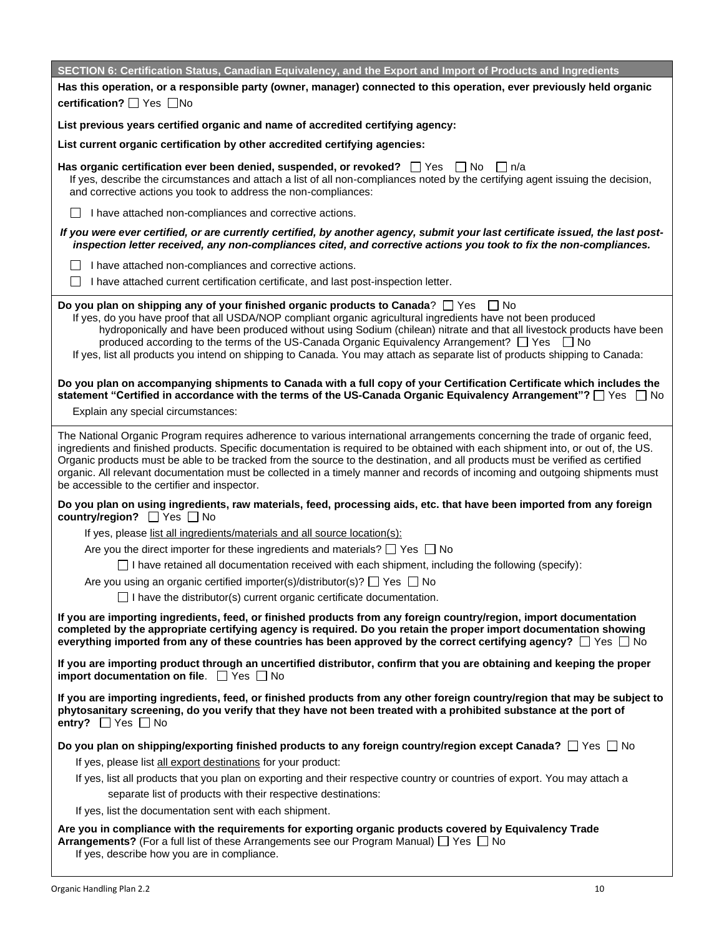| SECTION 6: Certification Status, Canadian Equivalency, and the Export and Import of Products and Ingredients                                                                                                                                                                                                                                                                                                                                                                                                                                                                       |
|------------------------------------------------------------------------------------------------------------------------------------------------------------------------------------------------------------------------------------------------------------------------------------------------------------------------------------------------------------------------------------------------------------------------------------------------------------------------------------------------------------------------------------------------------------------------------------|
| Has this operation, or a responsible party (owner, manager) connected to this operation, ever previously held organic                                                                                                                                                                                                                                                                                                                                                                                                                                                              |
| certification? <sup>1</sup> Yes <sup>1</sup> No                                                                                                                                                                                                                                                                                                                                                                                                                                                                                                                                    |
| List previous years certified organic and name of accredited certifying agency:                                                                                                                                                                                                                                                                                                                                                                                                                                                                                                    |
| List current organic certification by other accredited certifying agencies:                                                                                                                                                                                                                                                                                                                                                                                                                                                                                                        |
| Has organic certification ever been denied, suspended, or revoked? $\Box$ Yes $\Box$ No $\Box$ n/a<br>If yes, describe the circumstances and attach a list of all non-compliances noted by the certifying agent issuing the decision,<br>and corrective actions you took to address the non-compliances:                                                                                                                                                                                                                                                                           |
| I have attached non-compliances and corrective actions.                                                                                                                                                                                                                                                                                                                                                                                                                                                                                                                            |
| If you were ever certified, or are currently certified, by another agency, submit your last certificate issued, the last post-<br>inspection letter received, any non-compliances cited, and corrective actions you took to fix the non-compliances.                                                                                                                                                                                                                                                                                                                               |
| I have attached non-compliances and corrective actions.                                                                                                                                                                                                                                                                                                                                                                                                                                                                                                                            |
| I have attached current certification certificate, and last post-inspection letter.                                                                                                                                                                                                                                                                                                                                                                                                                                                                                                |
| Do you plan on shipping any of your finished organic products to Canada? $\Box$ Yes $\Box$ No<br>If yes, do you have proof that all USDA/NOP compliant organic agricultural ingredients have not been produced<br>hydroponically and have been produced without using Sodium (chilean) nitrate and that all livestock products have been<br>produced according to the terms of the US-Canada Organic Equivalency Arrangement? $\Box$ Yes $\Box$ No<br>If yes, list all products you intend on shipping to Canada. You may attach as separate list of products shipping to Canada:  |
| Do you plan on accompanying shipments to Canada with a full copy of your Certification Certificate which includes the<br>statement "Certified in accordance with the terms of the US-Canada Organic Equivalency Arrangement"? □ Yes □ No                                                                                                                                                                                                                                                                                                                                           |
| Explain any special circumstances:                                                                                                                                                                                                                                                                                                                                                                                                                                                                                                                                                 |
| The National Organic Program requires adherence to various international arrangements concerning the trade of organic feed,<br>ingredients and finished products. Specific documentation is required to be obtained with each shipment into, or out of, the US.<br>Organic products must be able to be tracked from the source to the destination, and all products must be verified as certified<br>organic. All relevant documentation must be collected in a timely manner and records of incoming and outgoing shipments must<br>be accessible to the certifier and inspector. |
| Do you plan on using ingredients, raw materials, feed, processing aids, etc. that have been imported from any foreign<br>country/region? □ Yes □ No                                                                                                                                                                                                                                                                                                                                                                                                                                |
| If yes, please list all ingredients/materials and all source location(s):                                                                                                                                                                                                                                                                                                                                                                                                                                                                                                          |
| Are you the direct importer for these ingredients and materials? $\Box$ Yes $\Box$ No                                                                                                                                                                                                                                                                                                                                                                                                                                                                                              |
| $\Box$ I have retained all documentation received with each shipment, including the following (specify):                                                                                                                                                                                                                                                                                                                                                                                                                                                                           |
| Are you using an organic certified importer(s)/distributor(s)? $\Box$ Yes $\Box$ No                                                                                                                                                                                                                                                                                                                                                                                                                                                                                                |
| $\Box$ I have the distributor(s) current organic certificate documentation.                                                                                                                                                                                                                                                                                                                                                                                                                                                                                                        |
| If you are importing ingredients, feed, or finished products from any foreign country/region, import documentation<br>completed by the appropriate certifying agency is required. Do you retain the proper import documentation showing<br>everything imported from any of these countries has been approved by the correct certifying agency? $\Box$ Yes $\Box$ No                                                                                                                                                                                                                |
| If you are importing product through an uncertified distributor, confirm that you are obtaining and keeping the proper<br>import documentation on file. $\Box$ Yes $\Box$ No                                                                                                                                                                                                                                                                                                                                                                                                       |
| If you are importing ingredients, feed, or finished products from any other foreign country/region that may be subject to<br>phytosanitary screening, do you verify that they have not been treated with a prohibited substance at the port of<br>entry? $\Box$ Yes $\Box$ No                                                                                                                                                                                                                                                                                                      |
| Do you plan on shipping/exporting finished products to any foreign country/region except Canada? $\Box$ Yes $\Box$ No                                                                                                                                                                                                                                                                                                                                                                                                                                                              |
| If yes, please list all export destinations for your product:                                                                                                                                                                                                                                                                                                                                                                                                                                                                                                                      |
| If yes, list all products that you plan on exporting and their respective country or countries of export. You may attach a                                                                                                                                                                                                                                                                                                                                                                                                                                                         |
| separate list of products with their respective destinations:                                                                                                                                                                                                                                                                                                                                                                                                                                                                                                                      |
| If yes, list the documentation sent with each shipment.                                                                                                                                                                                                                                                                                                                                                                                                                                                                                                                            |
| Are you in compliance with the requirements for exporting organic products covered by Equivalency Trade<br><b>Arrangements?</b> (For a full list of these Arrangements see our Program Manual) $\Box$ Yes $\Box$ No<br>If yes, describe how you are in compliance.                                                                                                                                                                                                                                                                                                                 |